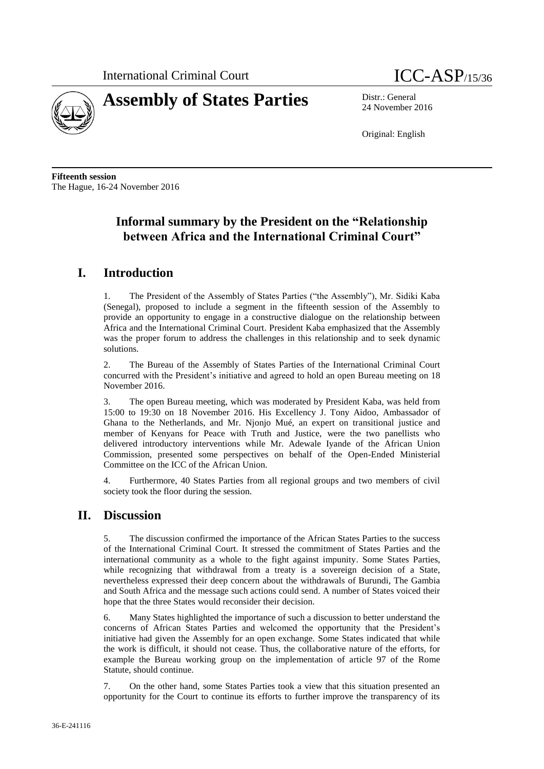



24 November 2016

Original: English

**Fifteenth session** The Hague, 16-24 November 2016

## **Informal summary by the President on the "Relationship between Africa and the International Criminal Court"**

## **I. Introduction**

1. The President of the Assembly of States Parties ("the Assembly"), Mr. Sidiki Kaba (Senegal), proposed to include a segment in the fifteenth session of the Assembly to provide an opportunity to engage in a constructive dialogue on the relationship between Africa and the International Criminal Court. President Kaba emphasized that the Assembly was the proper forum to address the challenges in this relationship and to seek dynamic solutions.

2. The Bureau of the Assembly of States Parties of the International Criminal Court concurred with the President's initiative and agreed to hold an open Bureau meeting on 18 November 2016.

3. The open Bureau meeting, which was moderated by President Kaba, was held from 15:00 to 19:30 on 18 November 2016. His Excellency J. Tony Aidoo, Ambassador of Ghana to the Netherlands, and Mr. Njonjo Mué, an expert on transitional justice and member of Kenyans for Peace with Truth and Justice, were the two panellists who delivered introductory interventions while Mr. Adewale Iyande of the African Union Commission, presented some perspectives on behalf of the Open-Ended Ministerial Committee on the ICC of the African Union.

4. Furthermore, 40 States Parties from all regional groups and two members of civil society took the floor during the session.

## **II. Discussion**

5. The discussion confirmed the importance of the African States Parties to the success of the International Criminal Court. It stressed the commitment of States Parties and the international community as a whole to the fight against impunity. Some States Parties, while recognizing that withdrawal from a treaty is a sovereign decision of a State, nevertheless expressed their deep concern about the withdrawals of Burundi, The Gambia and South Africa and the message such actions could send. A number of States voiced their hope that the three States would reconsider their decision.

6. Many States highlighted the importance of such a discussion to better understand the concerns of African States Parties and welcomed the opportunity that the President's initiative had given the Assembly for an open exchange. Some States indicated that while the work is difficult, it should not cease. Thus, the collaborative nature of the efforts, for example the Bureau working group on the implementation of article 97 of the Rome Statute, should continue.

7. On the other hand, some States Parties took a view that this situation presented an opportunity for the Court to continue its efforts to further improve the transparency of its